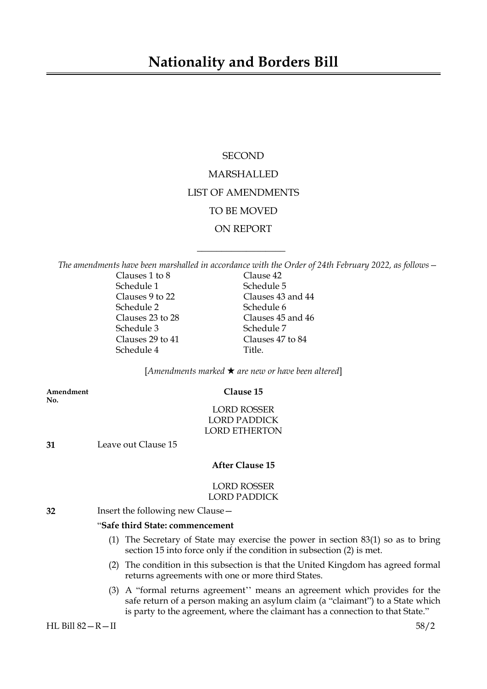# **Nationality and Borders Bill**

# **SECOND** MARSHALLED LIST OF AMENDMENTS TO BE MOVED ON REPORT

*The amendments have been marshalled in accordance with the Order of 24th February 2022, as follows—*

 $\overline{\phantom{a}}$  , where  $\overline{\phantom{a}}$ 

| Clauses 1 to 8   | Clause 42         |
|------------------|-------------------|
| Schedule 1       | Schedule 5        |
| Clauses 9 to 22  | Clauses 43 and 44 |
| Schedule 2       | Schedule 6        |
| Clauses 23 to 28 | Clauses 45 and 46 |
| Schedule 3       | Schedule 7        |
| Clauses 29 to 41 | Clauses 47 to 84  |
| Schedule 4       | Title             |
|                  |                   |

[*Amendments marked* \* *are new or have been altered*]

**Amendment Clause 15 No.**

LORD ROSSER LORD PADDICK LORD ETHERTON

**31** Leave out Clause 15

#### **After Clause 15**

#### LORD ROSSER LORD PADDICK

**32** Insert the following new Clause—

#### "**Safe third State: commencement**

- (1) The Secretary of State may exercise the power in section 83(1) so as to bring section 15 into force only if the condition in subsection (2) is met.
- (2) The condition in this subsection is that the United Kingdom has agreed formal returns agreements with one or more third States.
- (3) A "formal returns agreement'' means an agreement which provides for the safe return of a person making an asylum claim (a "claimant") to a State which is party to the agreement, where the claimant has a connection to that State."

HL Bill 82—R—II 58/2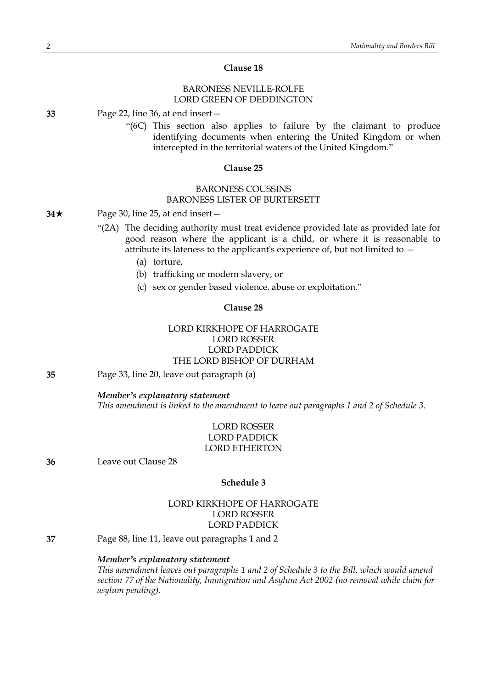### **Clause 18**

### BARONESS NEVILLE-ROLFE LORD GREEN OF DEDDINGTON

**33** Page 22, line 36, at end insert—

"(6C) This section also applies to failure by the claimant to produce identifying documents when entering the United Kingdom or when intercepted in the territorial waters of the United Kingdom."

#### **Clause 25**

### BARONESS COUSSINS BARONESS LISTER OF BURTERSETT

#### **34**★ Page 30, line 25, at end insert —

- "(2A) The deciding authority must treat evidence provided late as provided late for good reason where the applicant is a child, or where it is reasonable to attribute its lateness to the applicant's experience of, but not limited to  $-$ 
	- (a) torture,
	- (b) trafficking or modern slavery, or
	- (c) sex or gender based violence, abuse or exploitation."

### **Clause 28**

## LORD KIRKHOPE OF HARROGATE LORD ROSSER LORD PADDICK THE LORD BISHOP OF DURHAM

**35** Page 33, line 20, leave out paragraph (a)

#### *Member's explanatory statement*

*This amendment is linked to the amendment to leave out paragraphs 1 and 2 of Schedule 3.*

### LORD ROSSER LORD PADDICK LORD ETHERTON

**36** Leave out Clause 28

### **Schedule 3**

### LORD KIRKHOPE OF HARROGATE LORD ROSSER LORD PADDICK

**37** Page 88, line 11, leave out paragraphs 1 and 2

#### *Member's explanatory statement*

*This amendment leaves out paragraphs 1 and 2 of Schedule 3 to the Bill, which would amend section 77 of the Nationality, Immigration and Asylum Act 2002 (no removal while claim for asylum pending).*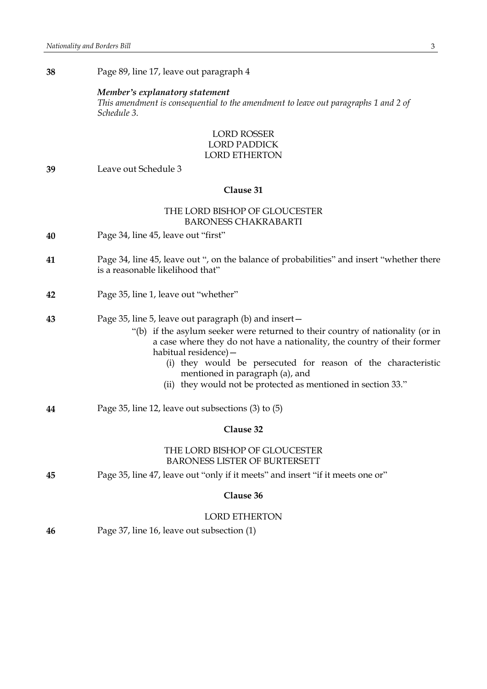**38** Page 89, line 17, leave out paragraph 4

#### *Member's explanatory statement*

*This amendment is consequential to the amendment to leave out paragraphs 1 and 2 of Schedule 3.*

### LORD ROSSER LORD PADDICK LORD ETHERTON

**39** Leave out Schedule 3

#### **Clause 31**

### THE LORD BISHOP OF GLOUCESTER BARONESS CHAKRABARTI

- **40** Page 34, line 45, leave out "first"
- **41** Page 34, line 45, leave out ", on the balance of probabilities" and insert "whether there is a reasonable likelihood that"
- **42** Page 35, line 1, leave out "whether"
- **43** Page 35, line 5, leave out paragraph (b) and insert—
	- "(b) if the asylum seeker were returned to their country of nationality (or in a case where they do not have a nationality, the country of their former habitual residence)—
		- (i) they would be persecuted for reason of the characteristic mentioned in paragraph (a), and
		- (ii) they would not be protected as mentioned in section 33."
- **44** Page 35, line 12, leave out subsections (3) to (5)

### **Clause 32**

#### THE LORD BISHOP OF GLOUCESTER BARONESS LISTER OF BURTERSETT

**45** Page 35, line 47, leave out "only if it meets" and insert "if it meets one or"

#### **Clause 36**

#### LORD ETHERTON

**46** Page 37, line 16, leave out subsection (1)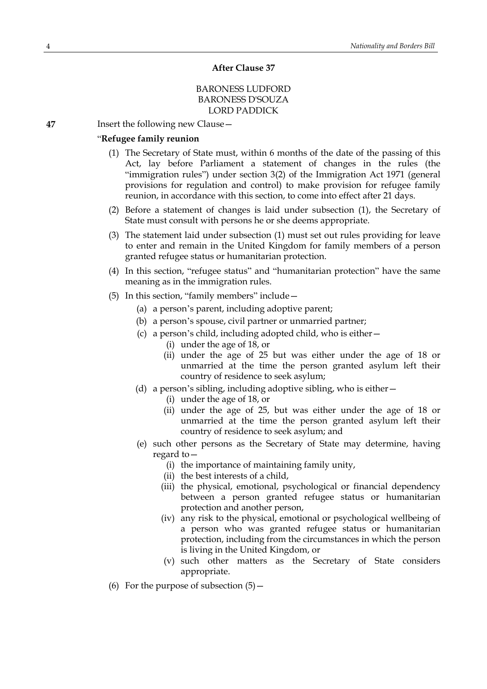#### **After Clause 37**

### BARONESS LUDFORD BARONESS D'SOUZA LORD PADDICK

**47** Insert the following new Clause—

### "**Refugee family reunion**

- (1) The Secretary of State must, within 6 months of the date of the passing of this Act, lay before Parliament a statement of changes in the rules (the "immigration rules") under section 3(2) of the Immigration Act 1971 (general provisions for regulation and control) to make provision for refugee family reunion, in accordance with this section, to come into effect after 21 days.
- (2) Before a statement of changes is laid under subsection (1), the Secretary of State must consult with persons he or she deems appropriate.
- (3) The statement laid under subsection (1) must set out rules providing for leave to enter and remain in the United Kingdom for family members of a person granted refugee status or humanitarian protection.
- (4) In this section, "refugee status" and "humanitarian protection" have the same meaning as in the immigration rules.
- (5) In this section, "family members" include—
	- (a) a person's parent, including adoptive parent;
	- (b) a person's spouse, civil partner or unmarried partner;
	- (c) a person's child, including adopted child, who is either—
		- (i) under the age of 18, or
		- (ii) under the age of 25 but was either under the age of 18 or unmarried at the time the person granted asylum left their country of residence to seek asylum;
	- (d) a person's sibling, including adoptive sibling, who is either—
		- (i) under the age of 18, or
		- (ii) under the age of 25, but was either under the age of 18 or unmarried at the time the person granted asylum left their country of residence to seek asylum; and
	- (e) such other persons as the Secretary of State may determine, having regard to—
		- (i) the importance of maintaining family unity,
		- (ii) the best interests of a child,
		- (iii) the physical, emotional, psychological or financial dependency between a person granted refugee status or humanitarian protection and another person,
		- (iv) any risk to the physical, emotional or psychological wellbeing of a person who was granted refugee status or humanitarian protection, including from the circumstances in which the person is living in the United Kingdom, or
		- (v) such other matters as the Secretary of State considers appropriate.
- (6) For the purpose of subsection  $(5)$  -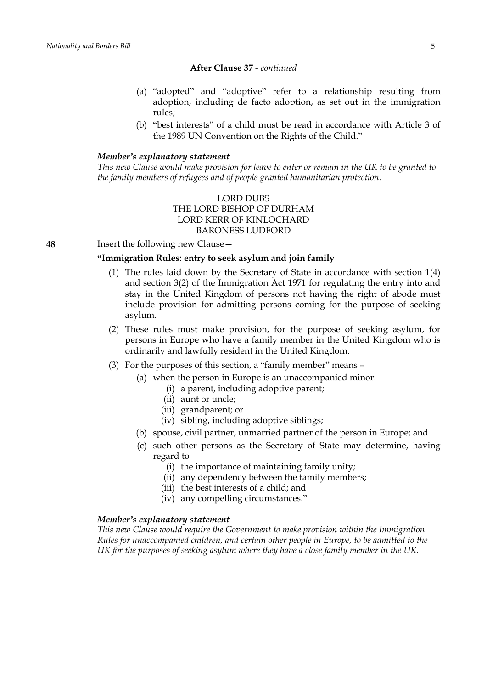- (a) "adopted" and "adoptive" refer to a relationship resulting from adoption, including de facto adoption, as set out in the immigration rules;
- (b) "best interests" of a child must be read in accordance with Article 3 of the 1989 UN Convention on the Rights of the Child."

### *Member's explanatory statement*

This new Clause would make provision for leave to enter or remain in the UK to be granted to *the family members of refugees and of people granted humanitarian protection.*

### LORD DUBS THE LORD BISHOP OF DURHAM LORD KERR OF KINLOCHARD BARONESS LUDFORD

**48** Insert the following new Clause—

#### **"Immigration Rules: entry to seek asylum and join family**

- (1) The rules laid down by the Secretary of State in accordance with section 1(4) and section 3(2) of the Immigration Act 1971 for regulating the entry into and stay in the United Kingdom of persons not having the right of abode must include provision for admitting persons coming for the purpose of seeking asylum.
- (2) These rules must make provision, for the purpose of seeking asylum, for persons in Europe who have a family member in the United Kingdom who is ordinarily and lawfully resident in the United Kingdom.
- (3) For the purposes of this section, a "family member" means
	- (a) when the person in Europe is an unaccompanied minor:
		- (i) a parent, including adoptive parent;
		- (ii) aunt or uncle;
		- (iii) grandparent; or
		- (iv) sibling, including adoptive siblings;
	- (b) spouse, civil partner, unmarried partner of the person in Europe; and
	- (c) such other persons as the Secretary of State may determine, having regard to
		- (i) the importance of maintaining family unity;
		- (ii) any dependency between the family members;
		- (iii) the best interests of a child; and
		- (iv) any compelling circumstances."

#### *Member's explanatory statement*

*This new Clause would require the Government to make provision within the Immigration Rules for unaccompanied children, and certain other people in Europe, to be admitted to the UK for the purposes of seeking asylum where they have a close family member in the UK.*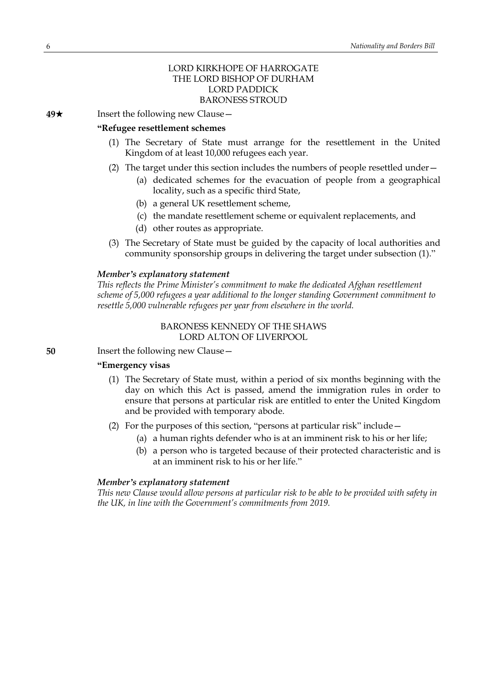### LORD KIRKHOPE OF HARROGATE THE LORD BISHOP OF DURHAM LORD PADDICK BARONESS STROUD

**49**★ Insert the following new Clause —

#### **"Refugee resettlement schemes**

- (1) The Secretary of State must arrange for the resettlement in the United Kingdom of at least 10,000 refugees each year.
- (2) The target under this section includes the numbers of people resettled under—
	- (a) dedicated schemes for the evacuation of people from a geographical locality, such as a specific third State,
	- (b) a general UK resettlement scheme,
	- (c) the mandate resettlement scheme or equivalent replacements, and
	- (d) other routes as appropriate.
- (3) The Secretary of State must be guided by the capacity of local authorities and community sponsorship groups in delivering the target under subsection (1)."

#### *Member's explanatory statement*

*This reflects the Prime Minister's commitment to make the dedicated Afghan resettlement scheme of 5,000 refugees a year additional to the longer standing Government commitment to resettle 5,000 vulnerable refugees per year from elsewhere in the world.*

### BARONESS KENNEDY OF THE SHAWS LORD ALTON OF LIVERPOOL

**50** Insert the following new Clause —

### **"Emergency visas**

- (1) The Secretary of State must, within a period of six months beginning with the day on which this Act is passed, amend the immigration rules in order to ensure that persons at particular risk are entitled to enter the United Kingdom and be provided with temporary abode.
- (2) For the purposes of this section, "persons at particular risk" include—
	- (a) a human rights defender who is at an imminent risk to his or her life;
	- (b) a person who is targeted because of their protected characteristic and is at an imminent risk to his or her life."

#### *Member's explanatory statement*

*This new Clause would allow persons at particular risk to be able to be provided with safety in the UK, in line with the Government's commitments from 2019.*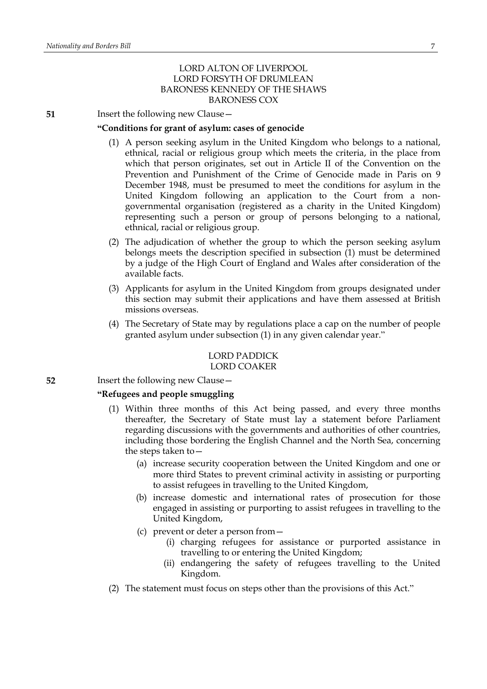### LORD ALTON OF LIVERPOOL LORD FORSYTH OF DRUMLEAN BARONESS KENNEDY OF THE SHAWS BARONESS COX

**51** Insert the following new Clause -

#### **"Conditions for grant of asylum: cases of genocide**

- (1) A person seeking asylum in the United Kingdom who belongs to a national, ethnical, racial or religious group which meets the criteria, in the place from which that person originates, set out in Article II of the Convention on the Prevention and Punishment of the Crime of Genocide made in Paris on 9 December 1948, must be presumed to meet the conditions for asylum in the United Kingdom following an application to the Court from a nongovernmental organisation (registered as a charity in the United Kingdom) representing such a person or group of persons belonging to a national, ethnical, racial or religious group.
- (2) The adjudication of whether the group to which the person seeking asylum belongs meets the description specified in subsection (1) must be determined by a judge of the High Court of England and Wales after consideration of the available facts.
- (3) Applicants for asylum in the United Kingdom from groups designated under this section may submit their applications and have them assessed at British missions overseas.
- (4) The Secretary of State may by regulations place a cap on the number of people granted asylum under subsection (1) in any given calendar year."

#### LORD PADDICK LORD COAKER

**52** Insert the following new Clause -

### **"Refugees and people smuggling**

- (1) Within three months of this Act being passed, and every three months thereafter, the Secretary of State must lay a statement before Parliament regarding discussions with the governments and authorities of other countries, including those bordering the English Channel and the North Sea, concerning the steps taken to—
	- (a) increase security cooperation between the United Kingdom and one or more third States to prevent criminal activity in assisting or purporting to assist refugees in travelling to the United Kingdom,
	- (b) increase domestic and international rates of prosecution for those engaged in assisting or purporting to assist refugees in travelling to the United Kingdom,
	- (c) prevent or deter a person from—
		- (i) charging refugees for assistance or purported assistance in travelling to or entering the United Kingdom;
		- (ii) endangering the safety of refugees travelling to the United Kingdom.
- (2) The statement must focus on steps other than the provisions of this Act."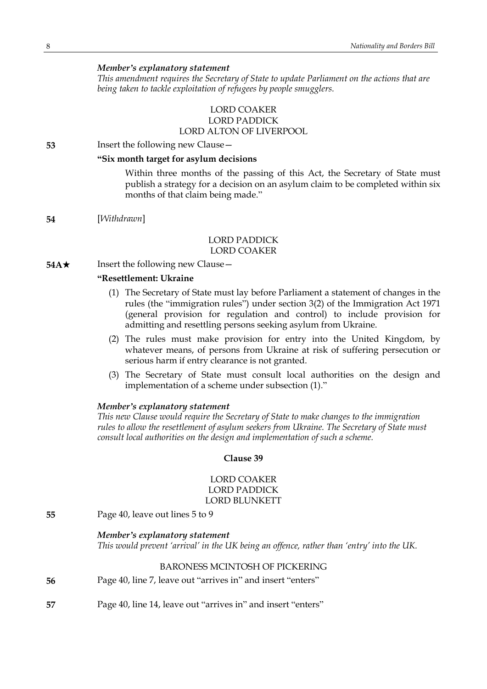### *Member's explanatory statement*

*This amendment requires the Secretary of State to update Parliament on the actions that are being taken to tackle exploitation of refugees by people smugglers.*

### LORD COAKER LORD PADDICK LORD ALTON OF LIVERPOOL

**53** Insert the following new Clause—

### **"Six month target for asylum decisions**

Within three months of the passing of this Act, the Secretary of State must publish a strategy for a decision on an asylum claim to be completed within six months of that claim being made."

**54** [*Withdrawn*]

#### LORD PADDICK LORD COAKER

**54A**★ Insert the following new Clause —

### **"Resettlement: Ukraine**

- (1) The Secretary of State must lay before Parliament a statement of changes in the rules (the "immigration rules") under section 3(2) of the Immigration Act 1971 (general provision for regulation and control) to include provision for admitting and resettling persons seeking asylum from Ukraine.
- (2) The rules must make provision for entry into the United Kingdom, by whatever means, of persons from Ukraine at risk of suffering persecution or serious harm if entry clearance is not granted.
- (3) The Secretary of State must consult local authorities on the design and implementation of a scheme under subsection (1)."

#### *Member's explanatory statement*

*This new Clause would require the Secretary of State to make changes to the immigration rules to allow the resettlement of asylum seekers from Ukraine. The Secretary of State must consult local authorities on the design and implementation of such a scheme.*

### **Clause 39**

### LORD COAKER LORD PADDICK LORD BLUNKETT

**55** Page 40, leave out lines 5 to 9

#### *Member's explanatory statement*

*This would prevent 'arrival' in the UK being an offence, rather than 'entry' into the UK.*

|    | <b>BARONESS MCINTOSH OF PICKERING</b>                        |
|----|--------------------------------------------------------------|
| 56 | Page 40, line 7, leave out "arrives in" and insert "enters"  |
| 57 | Page 40, line 14, leave out "arrives in" and insert "enters" |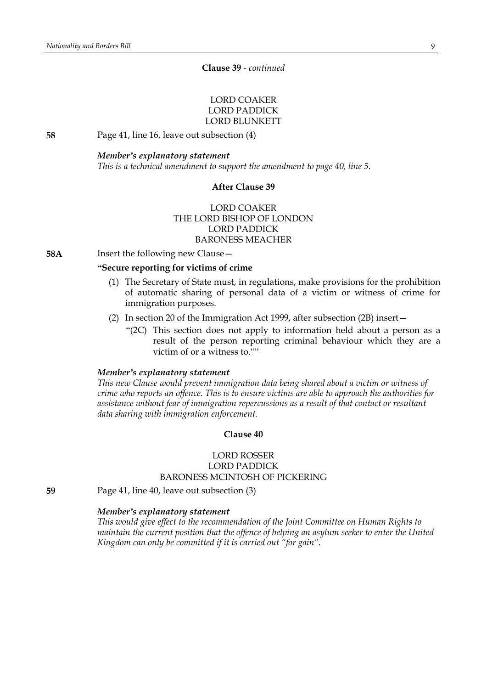### **Clause 39** *- continued*

### LORD COAKER LORD PADDICK LORD BLUNKETT

**58** Page 41, line 16, leave out subsection (4)

#### *Member's explanatory statement*

*This is a technical amendment to support the amendment to page 40, line 5.*

### **After Clause 39**

### LORD COAKER THE LORD BISHOP OF LONDON LORD PADDICK BARONESS MEACHER

**58A** Insert the following new Clause -

### **"Secure reporting for victims of crime**

- (1) The Secretary of State must, in regulations, make provisions for the prohibition of automatic sharing of personal data of a victim or witness of crime for immigration purposes.
- (2) In section 20 of the Immigration Act 1999, after subsection (2B) insert—
	- "(2C) This section does not apply to information held about a person as a result of the person reporting criminal behaviour which they are a victim of or a witness to.""

### *Member's explanatory statement*

*This new Clause would prevent immigration data being shared about a victim or witness of crime who reports an offence. This is to ensure victims are able to approach the authorities for assistance without fear of immigration repercussions as a result of that contact or resultant data sharing with immigration enforcement.*

### **Clause 40**

### LORD ROSSER LORD PADDICK BARONESS MCINTOSH OF PICKERING

**59** Page 41, line 40, leave out subsection (3)

#### *Member's explanatory statement*

*This would give effect to the recommendation of the Joint Committee on Human Rights to maintain the current position that the offence of helping an asylum seeker to enter the United Kingdom can only be committed if it is carried out "for gain".*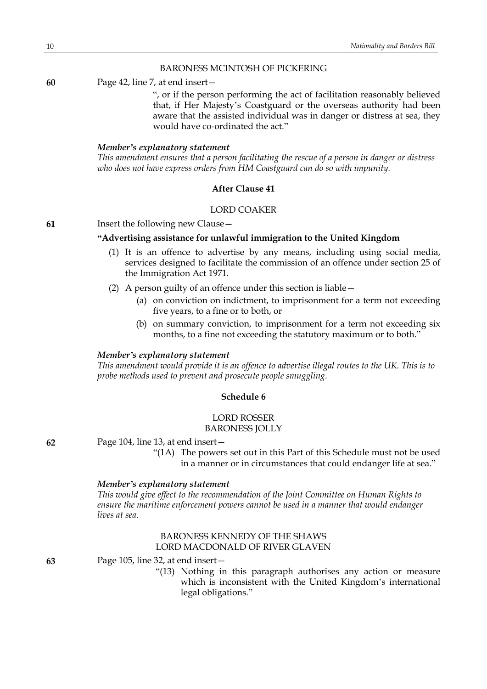### BARONESS MCINTOSH OF PICKERING

**60** Page 42, line 7, at end insert—

", or if the person performing the act of facilitation reasonably believed that, if Her Majesty's Coastguard or the overseas authority had been aware that the assisted individual was in danger or distress at sea, they would have co-ordinated the act."

### *Member's explanatory statement*

*This amendment ensures that a person facilitating the rescue of a person in danger or distress who does not have express orders from HM Coastguard can do so with impunity.*

### **After Clause 41**

### LORD COAKER

### **61** Insert the following new Clause—

#### **"Advertising assistance for unlawful immigration to the United Kingdom**

- (1) It is an offence to advertise by any means, including using social media, services designed to facilitate the commission of an offence under section 25 of the Immigration Act 1971.
- (2) A person guilty of an offence under this section is liable—
	- (a) on conviction on indictment, to imprisonment for a term not exceeding five years, to a fine or to both, or
	- (b) on summary conviction, to imprisonment for a term not exceeding six months, to a fine not exceeding the statutory maximum or to both."

#### *Member's explanatory statement*

*This amendment would provide it is an offence to advertise illegal routes to the UK. This is to probe methods used to prevent and prosecute people smuggling.*

#### **Schedule 6**

### LORD ROSSER

BARONESS JOLLY

**62** Page 104, line 13, at end insert—

"(1A) The powers set out in this Part of this Schedule must not be used in a manner or in circumstances that could endanger life at sea."

#### *Member's explanatory statement*

*This would give effect to the recommendation of the Joint Committee on Human Rights to ensure the maritime enforcement powers cannot be used in a manner that would endanger lives at sea.*

### BARONESS KENNEDY OF THE SHAWS LORD MACDONALD OF RIVER GLAVEN

**63** Page 105, line 32, at end insert—

"(13) Nothing in this paragraph authorises any action or measure which is inconsistent with the United Kingdom's international legal obligations."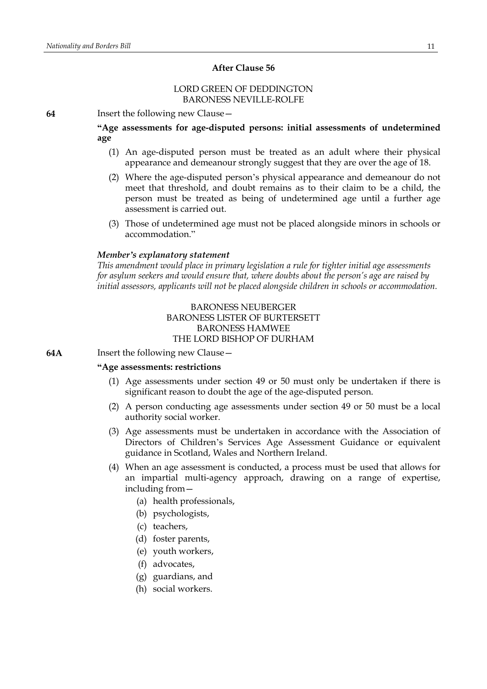#### **After Clause 56**

### LORD GREEN OF DEDDINGTON BARONESS NEVILLE-ROLFE

**64** Insert the following new Clause—

**"Age assessments for age-disputed persons: initial assessments of undetermined age**

- (1) An age-disputed person must be treated as an adult where their physical appearance and demeanour strongly suggest that they are over the age of 18.
- (2) Where the age-disputed person's physical appearance and demeanour do not meet that threshold, and doubt remains as to their claim to be a child, the person must be treated as being of undetermined age until a further age assessment is carried out.
- (3) Those of undetermined age must not be placed alongside minors in schools or accommodation."

### *Member's explanatory statement*

*This amendment would place in primary legislation a rule for tighter initial age assessments for asylum seekers and would ensure that, where doubts about the person's age are raised by initial assessors, applicants will not be placed alongside children in schools or accommodation.*

### BARONESS NEUBERGER BARONESS LISTER OF BURTERSETT BARONESS HAMWEE THE LORD BISHOP OF DURHAM

**64A** Insert the following new Clause—

### **"Age assessments: restrictions**

- (1) Age assessments under section 49 or 50 must only be undertaken if there is significant reason to doubt the age of the age-disputed person.
- (2) A person conducting age assessments under section 49 or 50 must be a local authority social worker.
- (3) Age assessments must be undertaken in accordance with the Association of Directors of Children's Services Age Assessment Guidance or equivalent guidance in Scotland, Wales and Northern Ireland.
- (4) When an age assessment is conducted, a process must be used that allows for an impartial multi-agency approach, drawing on a range of expertise, including from—
	- (a) health professionals,
	- (b) psychologists,
	- (c) teachers,
	- (d) foster parents,
	- (e) youth workers,
	- (f) advocates,
	- (g) guardians, and
	- (h) social workers.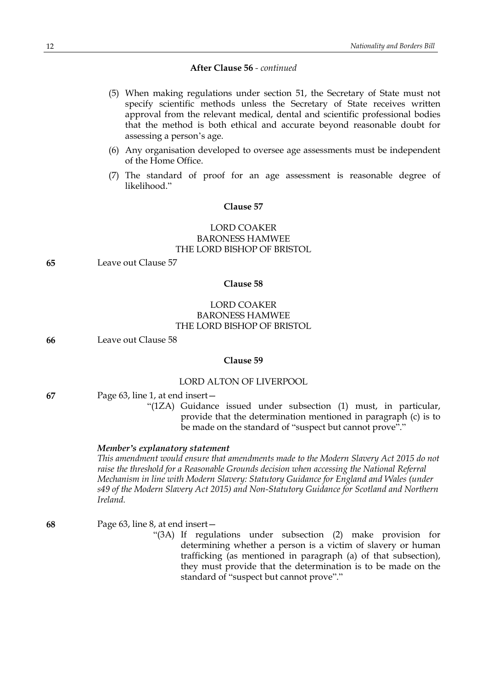- (5) When making regulations under section 51, the Secretary of State must not specify scientific methods unless the Secretary of State receives written approval from the relevant medical, dental and scientific professional bodies that the method is both ethical and accurate beyond reasonable doubt for assessing a person's age.
- (6) Any organisation developed to oversee age assessments must be independent of the Home Office.
- (7) The standard of proof for an age assessment is reasonable degree of likelihood<sup>"</sup>

#### **Clause 57**

### LORD COAKER BARONESS HAMWEE THE LORD BISHOP OF BRISTOL

**65** Leave out Clause 57

### **Clause 58**

### LORD COAKER BARONESS HAMWEE THE LORD BISHOP OF BRISTOL

**66** Leave out Clause 58

#### **Clause 59**

#### LORD ALTON OF LIVERPOOL

- **67** Page 63, line 1, at end insert—
	- "(1ZA) Guidance issued under subsection (1) must, in particular, provide that the determination mentioned in paragraph (c) is to be made on the standard of "suspect but cannot prove"."

#### *Member's explanatory statement*

*This amendment would ensure that amendments made to the Modern Slavery Act 2015 do not raise the threshold for a Reasonable Grounds decision when accessing the National Referral Mechanism in line with Modern Slavery: Statutory Guidance for England and Wales (under s49 of the Modern Slavery Act 2015) and Non-Statutory Guidance for Scotland and Northern Ireland.*

**68** Page 63, line 8, at end insert—

"(3A) If regulations under subsection (2) make provision for determining whether a person is a victim of slavery or human trafficking (as mentioned in paragraph (a) of that subsection), they must provide that the determination is to be made on the standard of "suspect but cannot prove"."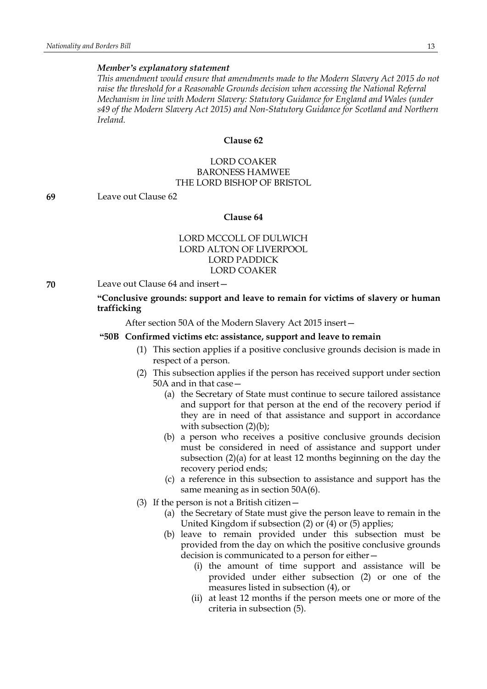### *Member's explanatory statement*

*This amendment would ensure that amendments made to the Modern Slavery Act 2015 do not raise the threshold for a Reasonable Grounds decision when accessing the National Referral Mechanism in line with Modern Slavery: Statutory Guidance for England and Wales (under s49 of the Modern Slavery Act 2015) and Non-Statutory Guidance for Scotland and Northern Ireland.*

#### **Clause 62**

## LORD COAKER BARONESS HAMWEE THE LORD BISHOP OF BRISTOL

**69** Leave out Clause 62

#### **Clause 64**

### LORD MCCOLL OF DULWICH LORD ALTON OF LIVERPOOL LORD PADDICK LORD COAKER

**70** Leave out Clause 64 and insert—

### **"Conclusive grounds: support and leave to remain for victims of slavery or human trafficking**

After section 50A of the Modern Slavery Act 2015 insert—

#### **"50B Confirmed victims etc: assistance, support and leave to remain**

- (1) This section applies if a positive conclusive grounds decision is made in respect of a person.
- (2) This subsection applies if the person has received support under section 50A and in that case—
	- (a) the Secretary of State must continue to secure tailored assistance and support for that person at the end of the recovery period if they are in need of that assistance and support in accordance with subsection  $(2)(b)$ ;
	- (b) a person who receives a positive conclusive grounds decision must be considered in need of assistance and support under subsection (2)(a) for at least 12 months beginning on the day the recovery period ends;
	- (c) a reference in this subsection to assistance and support has the same meaning as in section 50A(6).
- (3) If the person is not a British citizen—
	- (a) the Secretary of State must give the person leave to remain in the United Kingdom if subsection (2) or (4) or (5) applies;
	- (b) leave to remain provided under this subsection must be provided from the day on which the positive conclusive grounds decision is communicated to a person for either—
		- (i) the amount of time support and assistance will be provided under either subsection (2) or one of the measures listed in subsection (4), or
		- (ii) at least 12 months if the person meets one or more of the criteria in subsection (5).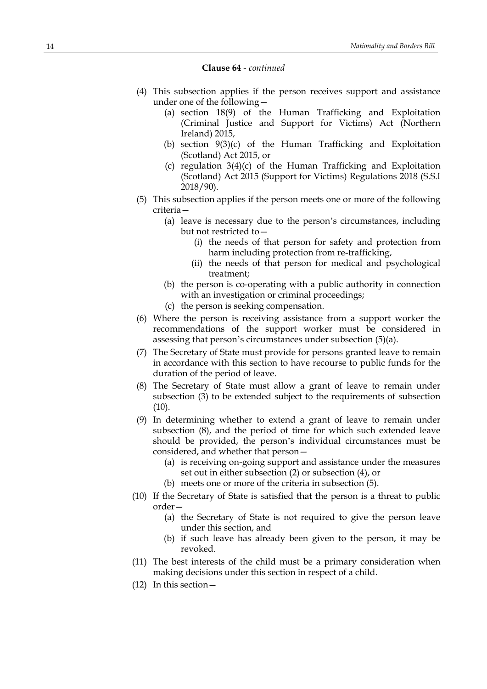#### **Clause 64** *- continued*

- (4) This subsection applies if the person receives support and assistance under one of the following—
	- (a) section 18(9) of the Human Trafficking and Exploitation (Criminal Justice and Support for Victims) Act (Northern Ireland) 2015,
	- (b) section 9(3)(c) of the Human Trafficking and Exploitation (Scotland) Act 2015, or
	- (c) regulation 3(4)(c) of the Human Trafficking and Exploitation (Scotland) Act 2015 (Support for Victims) Regulations 2018 (S.S.I 2018/90).
- (5) This subsection applies if the person meets one or more of the following criteria—
	- (a) leave is necessary due to the person's circumstances, including but not restricted to—
		- (i) the needs of that person for safety and protection from harm including protection from re-trafficking,
		- (ii) the needs of that person for medical and psychological treatment;
	- (b) the person is co-operating with a public authority in connection with an investigation or criminal proceedings;
	- (c) the person is seeking compensation.
- (6) Where the person is receiving assistance from a support worker the recommendations of the support worker must be considered in assessing that person's circumstances under subsection (5)(a).
- (7) The Secretary of State must provide for persons granted leave to remain in accordance with this section to have recourse to public funds for the duration of the period of leave.
- (8) The Secretary of State must allow a grant of leave to remain under subsection (3) to be extended subject to the requirements of subsection (10).
- (9) In determining whether to extend a grant of leave to remain under subsection (8), and the period of time for which such extended leave should be provided, the person's individual circumstances must be considered, and whether that person—
	- (a) is receiving on-going support and assistance under the measures set out in either subsection (2) or subsection (4), or
	- (b) meets one or more of the criteria in subsection (5).
- (10) If the Secretary of State is satisfied that the person is a threat to public order—
	- (a) the Secretary of State is not required to give the person leave under this section, and
	- (b) if such leave has already been given to the person, it may be revoked.
- (11) The best interests of the child must be a primary consideration when making decisions under this section in respect of a child.
- (12) In this section—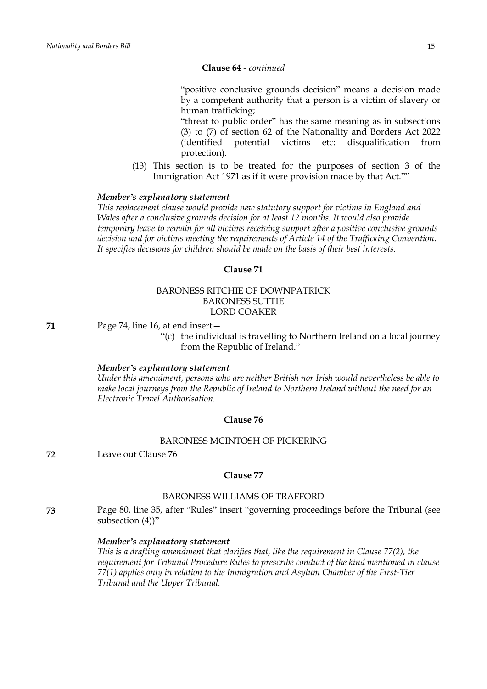#### **Clause 64** *- continued*

"positive conclusive grounds decision" means a decision made by a competent authority that a person is a victim of slavery or human trafficking;

"threat to public order" has the same meaning as in subsections (3) to (7) of section 62 of the Nationality and Borders Act 2022 (identified potential victims etc: disqualification from protection).

(13) This section is to be treated for the purposes of section 3 of the Immigration Act 1971 as if it were provision made by that Act.""

### *Member's explanatory statement*

*This replacement clause would provide new statutory support for victims in England and Wales after a conclusive grounds decision for at least 12 months. It would also provide temporary leave to remain for all victims receiving support after a positive conclusive grounds decision and for victims meeting the requirements of Article 14 of the Trafficking Convention. It specifies decisions for children should be made on the basis of their best interests.*

#### **Clause 71**

### BARONESS RITCHIE OF DOWNPATRICK BARONESS SUTTIE LORD COAKER

**71** Page 74, line 16, at end insert—

"(c) the individual is travelling to Northern Ireland on a local journey from the Republic of Ireland."

#### *Member's explanatory statement*

*Under this amendment, persons who are neither British nor Irish would nevertheless be able to make local journeys from the Republic of Ireland to Northern Ireland without the need for an Electronic Travel Authorisation.*

#### **Clause 76**

#### BARONESS MCINTOSH OF PICKERING

**72** Leave out Clause 76

#### **Clause 77**

#### BARONESS WILLIAMS OF TRAFFORD

**73** Page 80, line 35, after "Rules" insert "governing proceedings before the Tribunal (see subsection (4))"

#### *Member's explanatory statement*

*This is a drafting amendment that clarifies that, like the requirement in Clause 77(2), the requirement for Tribunal Procedure Rules to prescribe conduct of the kind mentioned in clause 77(1) applies only in relation to the Immigration and Asylum Chamber of the First-Tier Tribunal and the Upper Tribunal.*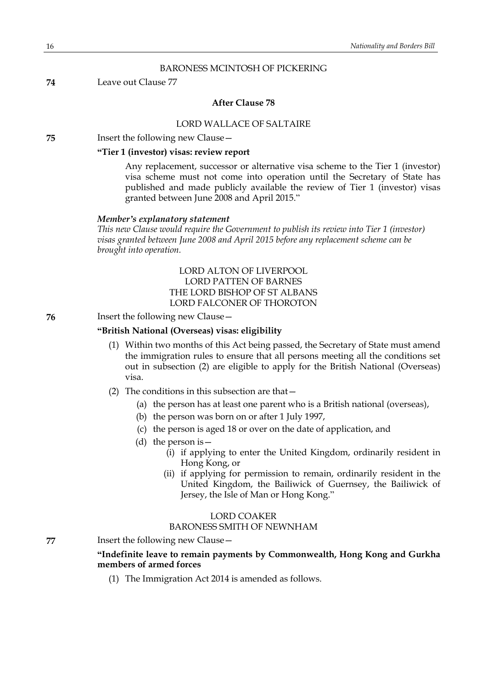#### BARONESS MCINTOSH OF PICKERING

#### **74** Leave out Clause 77

### **After Clause 78**

#### LORD WALLACE OF SALTAIRE

**75** Insert the following new Clause—

### **"Tier 1 (investor) visas: review report**

Any replacement, successor or alternative visa scheme to the Tier 1 (investor) visa scheme must not come into operation until the Secretary of State has published and made publicly available the review of Tier 1 (investor) visas granted between June 2008 and April 2015."

#### *Member's explanatory statement*

*This new Clause would require the Government to publish its review into Tier 1 (investor) visas granted between June 2008 and April 2015 before any replacement scheme can be brought into operation.*

> LORD ALTON OF LIVERPOOL LORD PATTEN OF BARNES THE LORD BISHOP OF ST ALBANS LORD FALCONER OF THOROTON

**76** Insert the following new Clause—

#### **"British National (Overseas) visas: eligibility**

- (1) Within two months of this Act being passed, the Secretary of State must amend the immigration rules to ensure that all persons meeting all the conditions set out in subsection (2) are eligible to apply for the British National (Overseas) visa.
- (2) The conditions in this subsection are that—
	- (a) the person has at least one parent who is a British national (overseas),
	- (b) the person was born on or after 1 July 1997,
	- (c) the person is aged 18 or over on the date of application, and
	- (d) the person is  $-$ 
		- (i) if applying to enter the United Kingdom, ordinarily resident in Hong Kong, or
		- (ii) if applying for permission to remain, ordinarily resident in the United Kingdom, the Bailiwick of Guernsey, the Bailiwick of Jersey, the Isle of Man or Hong Kong."

### LORD COAKER BARONESS SMITH OF NEWNHAM

**77** Insert the following new Clause—

### **"Indefinite leave to remain payments by Commonwealth, Hong Kong and Gurkha members of armed forces**

(1) The Immigration Act 2014 is amended as follows.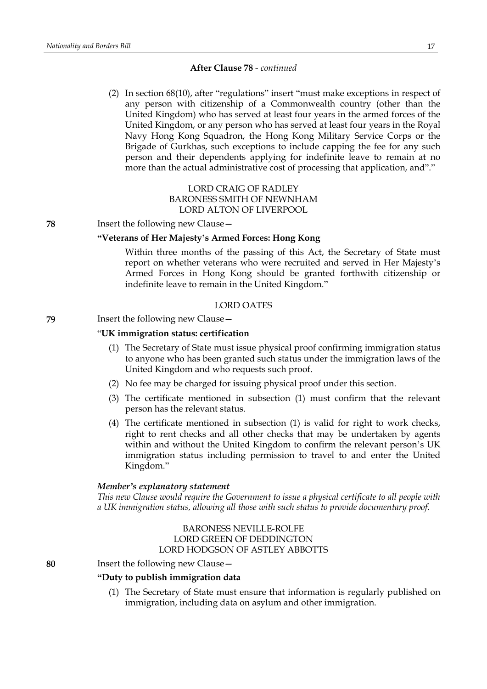(2) In section 68(10), after "regulations" insert "must make exceptions in respect of any person with citizenship of a Commonwealth country (other than the United Kingdom) who has served at least four years in the armed forces of the United Kingdom, or any person who has served at least four years in the Royal Navy Hong Kong Squadron, the Hong Kong Military Service Corps or the Brigade of Gurkhas, such exceptions to include capping the fee for any such person and their dependents applying for indefinite leave to remain at no more than the actual administrative cost of processing that application, and"."

### LORD CRAIG OF RADLEY BARONESS SMITH OF NEWNHAM LORD ALTON OF LIVERPOOL

**78** Insert the following new Clause—

### **"Veterans of Her Majesty's Armed Forces: Hong Kong**

Within three months of the passing of this Act, the Secretary of State must report on whether veterans who were recruited and served in Her Majesty's Armed Forces in Hong Kong should be granted forthwith citizenship or indefinite leave to remain in the United Kingdom."

#### LORD OATES

### **79** Insert the following new Clause—

#### "**UK immigration status: certification**

- (1) The Secretary of State must issue physical proof confirming immigration status to anyone who has been granted such status under the immigration laws of the United Kingdom and who requests such proof.
- (2) No fee may be charged for issuing physical proof under this section.
- (3) The certificate mentioned in subsection (1) must confirm that the relevant person has the relevant status.
- (4) The certificate mentioned in subsection (1) is valid for right to work checks, right to rent checks and all other checks that may be undertaken by agents within and without the United Kingdom to confirm the relevant person's UK immigration status including permission to travel to and enter the United Kingdom."

#### *Member's explanatory statement*

*This new Clause would require the Government to issue a physical certificate to all people with a UK immigration status, allowing all those with such status to provide documentary proof.*

### BARONESS NEVILLE-ROLFE LORD GREEN OF DEDDINGTON LORD HODGSON OF ASTLEY ABBOTTS

**80** Insert the following new Clause—

### **"Duty to publish immigration data**

(1) The Secretary of State must ensure that information is regularly published on immigration, including data on asylum and other immigration.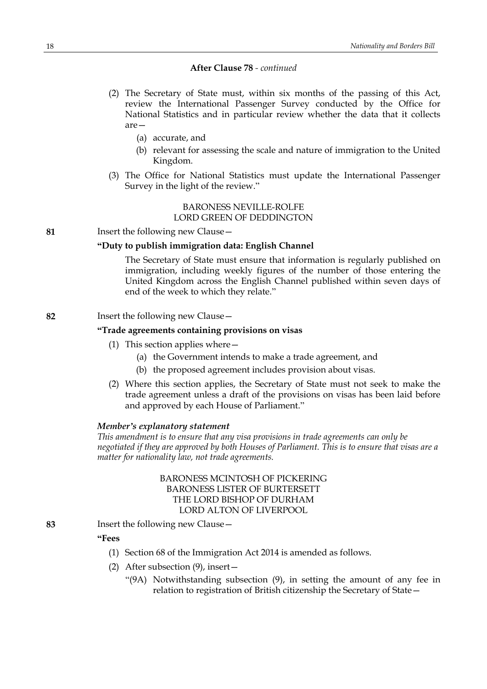- (2) The Secretary of State must, within six months of the passing of this Act, review the International Passenger Survey conducted by the Office for National Statistics and in particular review whether the data that it collects are—
	- (a) accurate, and
	- (b) relevant for assessing the scale and nature of immigration to the United Kingdom.
- (3) The Office for National Statistics must update the International Passenger Survey in the light of the review."

### BARONESS NEVILLE-ROLFE LORD GREEN OF DEDDINGTON

**81** Insert the following new Clause—

### **"Duty to publish immigration data: English Channel**

The Secretary of State must ensure that information is regularly published on immigration, including weekly figures of the number of those entering the United Kingdom across the English Channel published within seven days of end of the week to which they relate."

#### **82** Insert the following new Clause—

#### **"Trade agreements containing provisions on visas**

- (1) This section applies where—
	- (a) the Government intends to make a trade agreement, and
	- (b) the proposed agreement includes provision about visas.
- (2) Where this section applies, the Secretary of State must not seek to make the trade agreement unless a draft of the provisions on visas has been laid before and approved by each House of Parliament."

#### *Member's explanatory statement*

*This amendment is to ensure that any visa provisions in trade agreements can only be negotiated if they are approved by both Houses of Parliament. This is to ensure that visas are a matter for nationality law, not trade agreements.*

### BARONESS MCINTOSH OF PICKERING BARONESS LISTER OF BURTERSETT THE LORD BISHOP OF DURHAM LORD ALTON OF LIVERPOOL

**83** Insert the following new Clause—

### **"Fees**

- (1) Section 68 of the Immigration Act 2014 is amended as follows.
- (2) After subsection (9), insert—
	- "(9A) Notwithstanding subsection (9), in setting the amount of any fee in relation to registration of British citizenship the Secretary of State—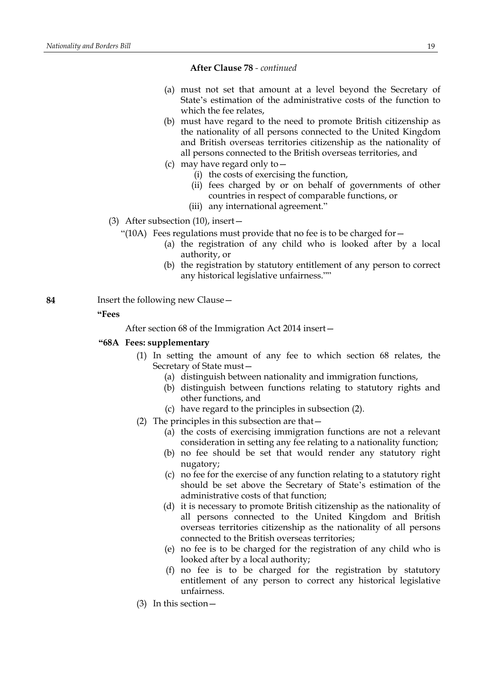- (a) must not set that amount at a level beyond the Secretary of State's estimation of the administrative costs of the function to which the fee relates,
- (b) must have regard to the need to promote British citizenship as the nationality of all persons connected to the United Kingdom and British overseas territories citizenship as the nationality of all persons connected to the British overseas territories, and
- (c) may have regard only to—
	- (i) the costs of exercising the function,
	- (ii) fees charged by or on behalf of governments of other countries in respect of comparable functions, or
	- (iii) any international agreement."
- (3) After subsection (10), insert—
	- "(10A) Fees regulations must provide that no fee is to be charged for  $-$ 
		- (a) the registration of any child who is looked after by a local authority, or
		- (b) the registration by statutory entitlement of any person to correct any historical legislative unfairness.""
- **84** Insert the following new Clause—

#### **"Fees**

After section 68 of the Immigration Act 2014 insert—

#### **"68A Fees: supplementary**

- (1) In setting the amount of any fee to which section 68 relates, the Secretary of State must—
	- (a) distinguish between nationality and immigration functions,
	- (b) distinguish between functions relating to statutory rights and other functions, and
	- (c) have regard to the principles in subsection (2).
- (2) The principles in this subsection are that—
	- (a) the costs of exercising immigration functions are not a relevant consideration in setting any fee relating to a nationality function;
	- (b) no fee should be set that would render any statutory right nugatory;
	- (c) no fee for the exercise of any function relating to a statutory right should be set above the Secretary of State's estimation of the administrative costs of that function;
	- (d) it is necessary to promote British citizenship as the nationality of all persons connected to the United Kingdom and British overseas territories citizenship as the nationality of all persons connected to the British overseas territories;
	- (e) no fee is to be charged for the registration of any child who is looked after by a local authority;
	- (f) no fee is to be charged for the registration by statutory entitlement of any person to correct any historical legislative unfairness.
- (3) In this section—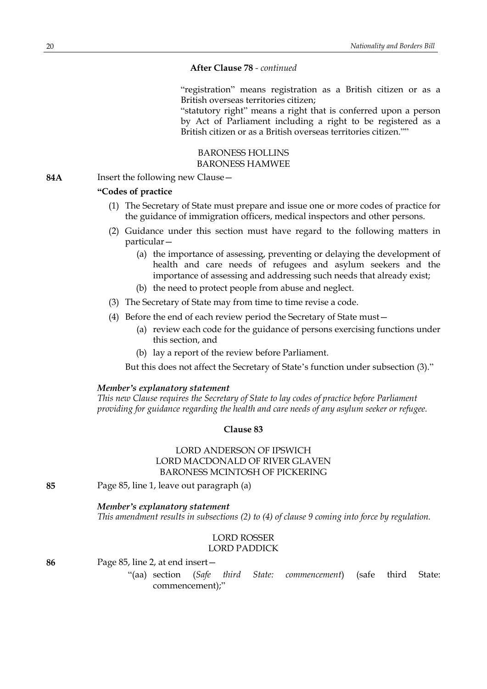"registration" means registration as a British citizen or as a British overseas territories citizen;

"statutory right" means a right that is conferred upon a person by Act of Parliament including a right to be registered as a British citizen or as a British overseas territories citizen.""

### BARONESS HOLLINS BARONESS HAMWEE

**84A** Insert the following new Clause—

### **"Codes of practice**

- (1) The Secretary of State must prepare and issue one or more codes of practice for the guidance of immigration officers, medical inspectors and other persons.
- (2) Guidance under this section must have regard to the following matters in particular—
	- (a) the importance of assessing, preventing or delaying the development of health and care needs of refugees and asylum seekers and the importance of assessing and addressing such needs that already exist;
	- (b) the need to protect people from abuse and neglect.
- (3) The Secretary of State may from time to time revise a code.
- (4) Before the end of each review period the Secretary of State must—
	- (a) review each code for the guidance of persons exercising functions under this section, and
	- (b) lay a report of the review before Parliament.

But this does not affect the Secretary of State's function under subsection (3)."

#### *Member's explanatory statement*

*This new Clause requires the Secretary of State to lay codes of practice before Parliament providing for guidance regarding the health and care needs of any asylum seeker or refugee.*

### **Clause 83**

### LORD ANDERSON OF IPSWICH LORD MACDONALD OF RIVER GLAVEN BARONESS MCINTOSH OF PICKERING

**85** Page 85, line 1, leave out paragraph (a)

### *Member's explanatory statement*

*This amendment results in subsections (2) to (4) of clause 9 coming into force by regulation.*

### LORD ROSSER LORD PADDICK

**86** Page 85, line 2, at end insert—

"(aa) section (*Safe third State: commencement*) (safe third State: commencement);"